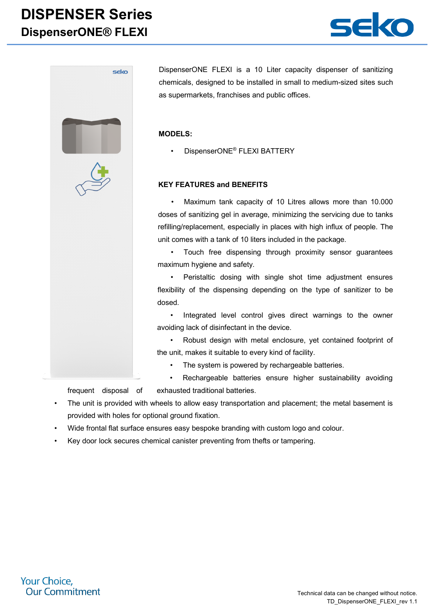## **DISPENSER Series DispenserONE® FLEXI**





DispenserONE FLEXI is a 10 Liter capacity dispenser of sanitizing chemicals, designed to be installed in small to medium-sized sites such as supermarkets, franchises and public offices.

#### **MODELS:**

• DispenserONE® FLEXI BATTERY

#### **KEY FEATURES and BENEFITS**

• Maximum tank capacity of 10 Litres allows more than 10.000 doses of sanitizing gel in average, minimizing the servicing due to tanks refilling/replacement, especially in places with high influx of people. The unit comes with a tank of 10 liters included in the package.

• Touch free dispensing through proximity sensor guarantees maximum hygiene and safety.

• Peristaltic dosing with single shot time adjustment ensures flexibility of the dispensing depending on the type of sanitizer to be dosed.

• Integrated level control gives direct warnings to the owner avoiding lack of disinfectant in the device.

• Robust design with metal enclosure, yet contained footprint of the unit, makes it suitable to every kind of facility.

- The system is powered by rechargeable batteries.
- Rechargeable batteries ensure higher sustainability avoiding frequent disposal of exhausted traditional batteries.

The unit is provided with wheels to allow easy transportation and placement; the metal basement is provided with holes for optional ground fixation.

- Wide frontal flat surface ensures easy bespoke branding with custom logo and colour.
- Key door lock secures chemical canister preventing from thefts or tampering.